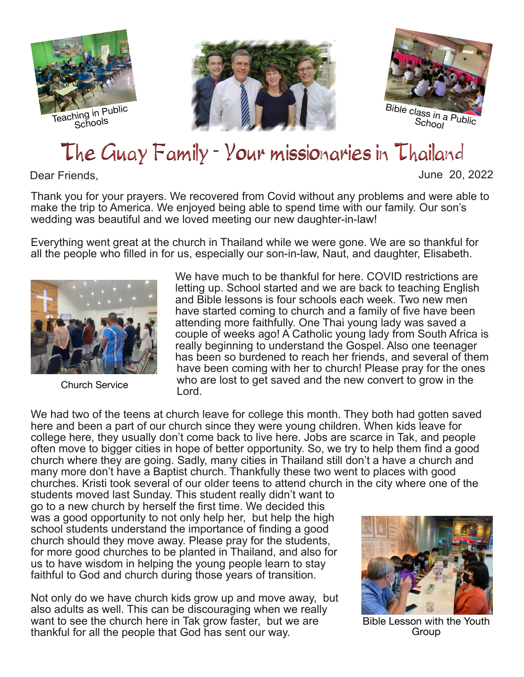





## The Guay Family - Your missionaries in Thailand

## Dear Friends, June 20, 2022

Thank you for your prayers. We recovered from Covid without any problems and were able to make the trip to America. We enjoyed being able to spend time with our family. Our son's wedding was beautiful and we loved meeting our new daughter-in-law!

Everything went great at the church in Thailand while we were gone. We are so thankful for all the people who filled in for us, especially our son-in-law, Naut, and daughter, Elisabeth.



Church Service

We have much to be thankful for here. COVID restrictions are letting up. School started and we are back to teaching English and Bible lessons is four schools each week. Two new men have started coming to church and a family of five have been attending more faithfully. One Thai young lady was saved a couple of weeks ago! A Catholic young lady from South Africa is really beginning to understand the Gospel. Also one teenager has been so burdened to reach her friends, and several of them have been coming with her to church! Please pray for the ones who are lost to get saved and the new convert to grow in the Lord.

We had two of the teens at church leave for college this month. They both had gotten saved here and been a part of our church since they were young children. When kids leave for college here, they usually don't come back to live here. Jobs are scarce in Tak, and people often move to bigger cities in hope of better opportunity. So, we try to help them find a good church where they are going. Sadly, many cities in Thailand still don't a have a church and many more don't have a Baptist church. Thankfully these two went to places with good churches. Kristi took several of our older teens to attend church in the city where one of the

students moved last Sunday. This student really didn't want to go to a new church by herself the first time. We decided this was a good opportunity to not only help her, but help the high school students understand the importance of finding a good church should they move away. Please pray for the students, for more good churches to be planted in Thailand, and also for us to have wisdom in helping the young people learn to stay faithful to God and church during those years of transition.

Not only do we have church kids grow up and move away, but also adults as well. This can be discouraging when we really want to see the church here in Tak grow faster, but we are thankful for all the people that God has sent our way.



Bible Lesson with the Youth Group